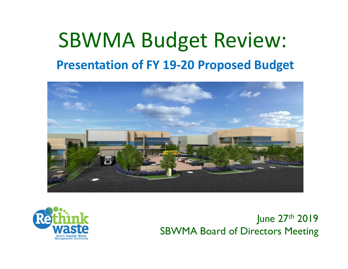## SBWMA Budget Review: **Presentation of FY 19‐20 Proposed Budget**





June 27<sup>th</sup> 2019 SBWMA Board of Directors Meeting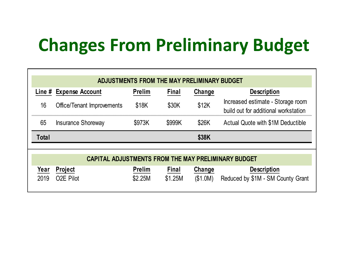# **Changes From Preliminary Budget**

| ADJUSTMENTS FROM THE MAY PRELIMINARY BUDGET |                                                            |               |              |        |                                                                           |  |  |  |  |  |
|---------------------------------------------|------------------------------------------------------------|---------------|--------------|--------|---------------------------------------------------------------------------|--|--|--|--|--|
| Line $#$                                    | <b>Expense Account</b>                                     | <b>Prelim</b> | Final        | Change | <b>Description</b>                                                        |  |  |  |  |  |
| 16                                          | <b>Office/Tenant Improvements</b>                          | \$18K         | \$30K        | \$12K  | Increased estimate - Storage room<br>build out for additional workstation |  |  |  |  |  |
| 65                                          | <b>Insurance Shoreway</b>                                  | \$973K        | \$999K       | \$26K  | Actual Quote with \$1M Deductible                                         |  |  |  |  |  |
|                                             |                                                            |               |              |        |                                                                           |  |  |  |  |  |
| Total                                       |                                                            |               |              | \$38K  |                                                                           |  |  |  |  |  |
|                                             | <b>CAPITAL ADJUSTMENTS FROM THE MAY PRELIMINARY BUDGET</b> |               |              |        |                                                                           |  |  |  |  |  |
| Year                                        | <b>Project</b>                                             | <b>Prelim</b> | <b>Final</b> | Change | <b>Description</b>                                                        |  |  |  |  |  |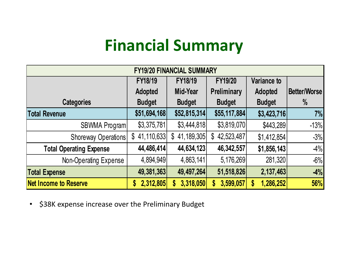#### **Financial Summary**

| <b>FY19/20 FINANCIAL SUMMARY</b> |                            |                            |                            |                |              |  |  |
|----------------------------------|----------------------------|----------------------------|----------------------------|----------------|--------------|--|--|
|                                  | <b>FY18/19</b>             | <b>FY18/19</b>             | <b>FY19/20</b>             | Variance to    |              |  |  |
|                                  | <b>Adopted</b>             | Mid-Year                   | Preliminary                | <b>Adopted</b> | Better/Worse |  |  |
| <b>Categories</b>                | <b>Budget</b>              | <b>Budget</b>              | <b>Budget</b>              | <b>Budget</b>  | $\%$         |  |  |
| <b>Total Revenue</b>             | \$51,694,168               | \$52,815,314               | \$55,117,884               | \$3,423,716    | 7%           |  |  |
| SBWMA Program                    | \$3,375,781                | \$3,444,818                | \$3,819,070                | \$443,289      | $-13%$       |  |  |
| Shoreway Operations              | 41,110,633<br>$\mathbb{S}$ | 41,189,305<br>$\mathbb{S}$ | 42,523,487<br>$\mathbb{S}$ | \$1,412,854    | $-3%$        |  |  |
| <b>Total Operating Expense</b>   | 44,486,414                 | 44,634,123                 | 46,342,557                 | \$1,856,143    | $-4%$        |  |  |
| Non-Operating Expense            | 4,894,949                  | 4,863,141                  | 5,176,269                  | 281,320        | $-6%$        |  |  |
| <b>Total Expense</b>             | 49,381,363                 | 49,497,264                 | 51,518,826                 | 2,137,463      | $-4%$        |  |  |
| <b>Net Income to Reserve</b>     | 2,312,805<br>S             | 3,318,050<br>S             | 3,599,057<br>S             | 1,286,252<br>S | 56%          |  |  |

•\$38K expense increase over the Preliminary Budget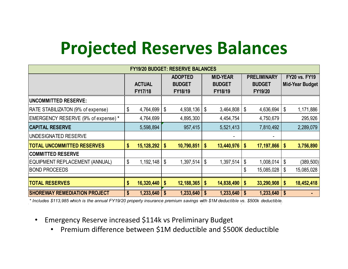## **Projected Reserves Balances**

| <b>FY19/20 BUDGET: RESERVE BALANCES</b>  |    |               |                |               |                           |               |                    |                   |                           |                 |
|------------------------------------------|----|---------------|----------------|---------------|---------------------------|---------------|--------------------|-------------------|---------------------------|-----------------|
|                                          |    |               | <b>ADOPTED</b> |               | <b>MID-YEAR</b>           |               | <b>PRELIMINARY</b> |                   | <b>FY20 vs. FY19</b>      |                 |
|                                          |    | <b>ACTUAL</b> |                | <b>BUDGET</b> |                           | <b>BUDGET</b> |                    | <b>BUDGET</b>     |                           | Mid-Year Budget |
|                                          |    | FY17/18       |                | FY18/19       |                           | FY18/19       |                    | FY19/20           |                           |                 |
| <b> UNCOMMITTED RESERVE:</b>             |    |               |                |               |                           |               |                    |                   |                           |                 |
| <b>RATE STABILIZATON (9% of expense)</b> | \$ | 4,764,699     | \$             | 4,938,136     | \$                        | 3,464,808     | l \$               | $4,636,694$   \$  |                           | 1,171,886       |
| EMERGENCY RESERVE (9% of expense) *      |    | 4,764,699     |                | 4,895,300     |                           | 4,454,754     |                    | 4,750,679         |                           | 295,926         |
| <b>CAPITAL RESERVE</b>                   |    | 5,598,894     |                | 957,415       |                           | 5,521,413     |                    | 7,810,492         |                           | 2,289,079       |
| UNDESIGNATED RESERVE                     |    |               |                |               |                           |               |                    |                   |                           |                 |
| <b>TOTAL UNCOMMITTED RESERVES</b>        | S  | 15,128,292    | \$             | 10,790,851    | \$                        | 13,440,976    | \$                 | $17,197,866$   \$ |                           | 3,756,890       |
| <b>COMMITTED RESERVE</b>                 |    |               |                |               |                           |               |                    |                   |                           |                 |
| EQUIPMENT REPLACEMENT (ANNUAL)           | \$ | 1, 192, 148   | \$             | 1,397,514     | \$                        | 1,397,514     | \$                 | $1,008,014$   \$  |                           | (389, 500)      |
| <b>BOND PROCEEDS</b>                     |    |               |                |               |                           |               | \$                 | 15,085,028        | \$                        | 15,085,028      |
|                                          |    |               |                |               |                           |               |                    |                   |                           |                 |
| <b>TOTAL RESERVES</b>                    | S  | 16,320,440    | S              | 12,188,365    | \$                        | 14,838,490    | \$                 | 33,290,908        | $\boldsymbol{\mathsf{s}}$ | 18,452,418      |
| <b>SHOREWAY REMEDIATION PROJECT</b>      | \$ | 1,233,640     | S              | 1,233,640     | $\boldsymbol{\mathsf{s}}$ | 1,233,640     | <b>S</b>           | $1,233,640$   \$  |                           |                 |

*\* Includes \$113,985 which is the annual FY19/20 property insurance premium savings with \$1M deductible vs. \$500k deductible.*

- • Emergency Reserve increased \$114k vs Preliminary Budget
	- $\bullet$ • Premium difference between \$1M deductible and \$500K deductible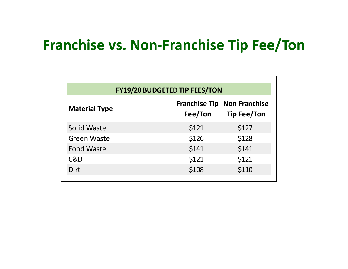#### **Franchise vs. Non‐Franchise Tip Fee/Ton**

| <b>FY19/20 BUDGETED TIP FEES/TON</b> |         |                                                          |  |  |  |  |  |  |
|--------------------------------------|---------|----------------------------------------------------------|--|--|--|--|--|--|
| <b>Material Type</b>                 | Fee/Ton | <b>Franchise Tip Non Franchise</b><br><b>Tip Fee/Ton</b> |  |  |  |  |  |  |
| Solid Waste                          | \$121   | \$127                                                    |  |  |  |  |  |  |
| <b>Green Waste</b>                   | \$126   | \$128                                                    |  |  |  |  |  |  |
| <b>Food Waste</b>                    | \$141   | \$141                                                    |  |  |  |  |  |  |
| C&D                                  | \$121   | \$121                                                    |  |  |  |  |  |  |
| Dirt                                 | \$108   | \$110                                                    |  |  |  |  |  |  |